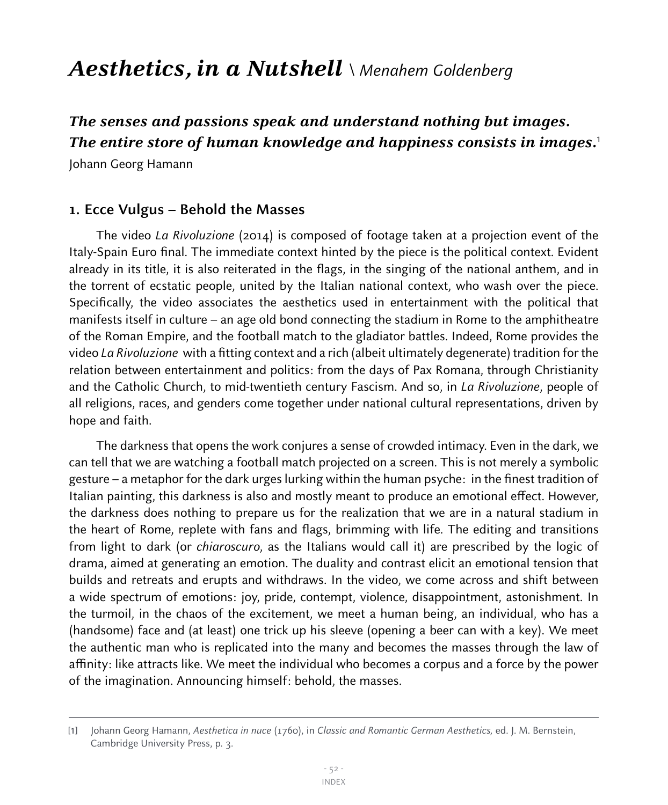# Aesthetics, in a Nutshell \ Menahem Goldenberg

## **The senses and passions speak and understand nothing but images. The entire store of human knowledge and happiness consists in images.**<sup>1</sup>

Johann Georg Hamann

#### **1. Ecce Vulgus – Behold the Masses**

The video La Rivoluzione (2014) is composed of footage taken at a projection event of the Italy-Spain Euro final. The immediate context hinted by the piece is the political context. Evident already in its title, it is also reiterated in the flags, in the singing of the national anthem, and in the torrent of ecstatic people, united by the Italian national context, who wash over the piece. Specifically, the video associates the aesthetics used in entertainment with the political that manifests itself in culture – an age old bond connecting the stadium in Rome to the amphitheatre of the Roman Empire, and the football match to the gladiator battles. Indeed, Rome provides the video La Rivoluzione with a fitting context and a rich (albeit ultimately degenerate) tradition for the relation between entertainment and politics: from the days of Pax Romana, through Christianity and the Catholic Church, to mid-twentieth century Fascism. And so, in La Rivoluzione, people of all religions, races, and genders come together under national cultural representations, driven by hope and faith.

The darkness that opens the work conjures a sense of crowded intimacy. Even in the dark, we can tell that we are watching a football match projected on a screen. This is not merely a symbolic gesture – a metaphor for the dark urges lurking within the human psyche: in the finest tradition of Italian painting, this darkness is also and mostly meant to produce an emotional effect. However, the darkness does nothing to prepare us for the realization that we are in a natural stadium in the heart of Rome, replete with fans and flags, brimming with life. The editing and transitions from light to dark (or chiaroscuro, as the Italians would call it) are prescribed by the logic of drama, aimed at generating an emotion. The duality and contrast elicit an emotional tension that builds and retreats and erupts and withdraws. In the video, we come across and shift between a wide spectrum of emotions: joy, pride, contempt, violence, disappointment, astonishment. In the turmoil, in the chaos of the excitement, we meet a human being, an individual, who has a (handsome) face and (at least) one trick up his sleeve (opening a beer can with a key). We meet the authentic man who is replicated into the many and becomes the masses through the law of affinity: like attracts like. We meet the individual who becomes a corpus and a force by the power of the imagination. Announcing himself: behold, the masses.

<sup>[</sup>1] Johann Georg Hamann, Aesthetica in nuce (1760), in Classic and Romantic German Aesthetics, ed. J. M. Bernstein, Cambridge University Press, p. 3.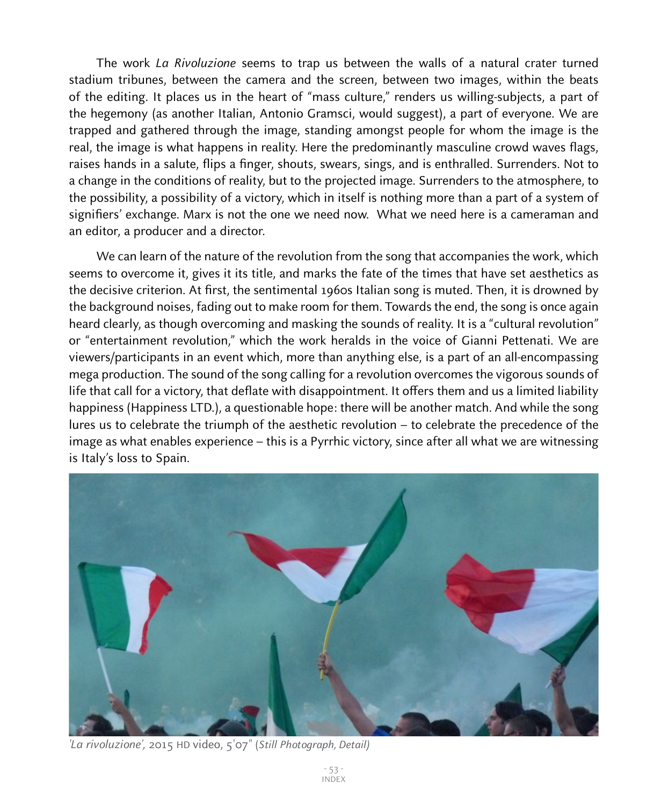The work La Rivoluzione seems to trap us between the walls of a natural crater turned stadium tribunes, between the camera and the screen, between two images, within the beats of the editing. It places us in the heart of "mass culture," renders us willing-subjects, a part of the hegemony (as another Italian, Antonio Gramsci, would suggest), a part of everyone. We are trapped and gathered through the image, standing amongst people for whom the image is the real, the image is what happens in reality. Here the predominantly masculine crowd waves flags, raises hands in a salute, flips a finger, shouts, swears, sings, and is enthralled. Surrenders. Not to a change in the conditions of reality, but to the projected image. Surrenders to the atmosphere, to the possibility, a possibility of a victory, which in itself is nothing more than a part of a system of signifiers' exchange. Marx is not the one we need now. What we need here is a cameraman and an editor, a producer and a director.

We can learn of the nature of the revolution from the song that accompanies the work, which seems to overcome it, gives it its title, and marks the fate of the times that have set aesthetics as the decisive criterion. At first, the sentimental 1960s Italian song is muted. Then, it is drowned by the background noises, fading out to make room for them. Towards the end, the song is once again heard clearly, as though overcoming and masking the sounds of reality. It is a "cultural revolution" or "entertainment revolution," which the work heralds in the voice of Gianni Pettenati. We are viewers/participants in an event which, more than anything else, is a part of an all-encompassing mega production. The sound of the song calling for a revolution overcomes the vigorous sounds of life that call for a victory, that deflate with disappointment. It offers them and us a limited liability happiness (Happiness LTD.), a questionable hope: there will be another match. And while the song lures us to celebrate the triumph of the aesthetic revolution – to celebrate the precedence of the image as what enables experience – this is a Pyrrhic victory, since after all what we are witnessing is Italy's loss to Spain.



'La rivoluzione', 2015 HD video, 5'07" (Still Photograph, Detail)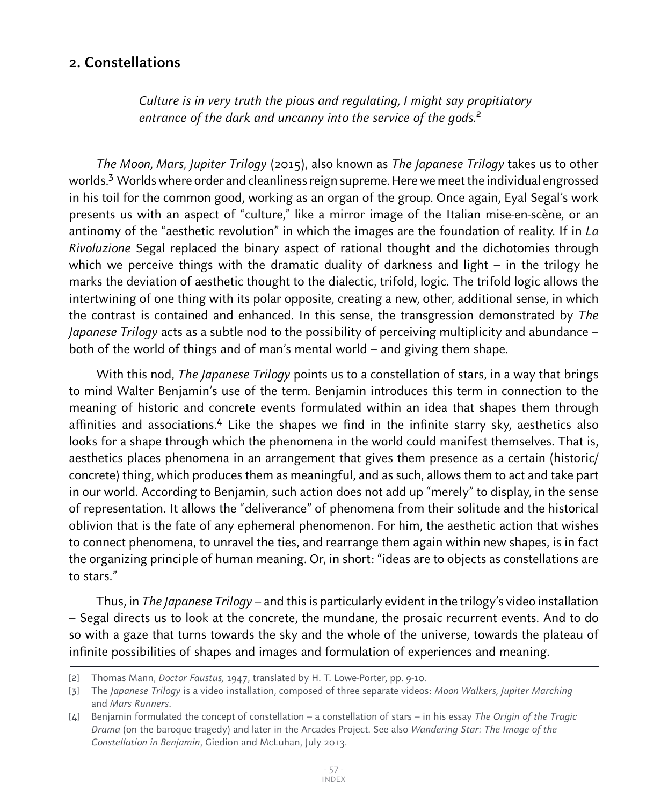### **2. Constellations**

 Culture is in very truth the pious and regulating, I might say propitiatory entrance of the dark and uncanny into the service of the gods.<sup>2</sup>

The Moon, Mars, Jupiter Trilogy (2015), also known as The Japanese Trilogy takes us to other worlds.<sup>3</sup> Worlds where order and cleanliness reign supreme. Here we meet the individual engrossed in his toil for the common good, working as an organ of the group. Once again, Eyal Segal's work presents us with an aspect of "culture," like a mirror image of the Italian mise-en-scène, or an antinomy of the "aesthetic revolution" in which the images are the foundation of reality. If in La Rivoluzione Segal replaced the binary aspect of rational thought and the dichotomies through which we perceive things with the dramatic duality of darkness and light – in the trilogy he marks the deviation of aesthetic thought to the dialectic, trifold, logic. The trifold logic allows the intertwining of one thing with its polar opposite, creating a new, other, additional sense, in which the contrast is contained and enhanced. In this sense, the transgression demonstrated by The Japanese Trilogy acts as a subtle nod to the possibility of perceiving multiplicity and abundance – both of the world of things and of man's mental world – and giving them shape.

With this nod, The Japanese Trilogy points us to a constellation of stars, in a way that brings to mind Walter Benjamin's use of the term. Benjamin introduces this term in connection to the meaning of historic and concrete events formulated within an idea that shapes them through affinities and associations.<sup>4</sup> Like the shapes we find in the infinite starry sky, aesthetics also looks for a shape through which the phenomena in the world could manifest themselves. That is, aesthetics places phenomena in an arrangement that gives them presence as a certain (historic/ concrete) thing, which produces them as meaningful, and as such, allows them to act and take part in our world. According to Benjamin, such action does not add up "merely" to display, in the sense of representation. It allows the "deliverance" of phenomena from their solitude and the historical oblivion that is the fate of any ephemeral phenomenon. For him, the aesthetic action that wishes to connect phenomena, to unravel the ties, and rearrange them again within new shapes, is in fact the organizing principle of human meaning. Or, in short: "ideas are to objects as constellations are to stars."

Thus, in The Japanese Trilogy – and this is particularly evident in the trilogy's video installation – Segal directs us to look at the concrete, the mundane, the prosaic recurrent events. And to do so with a gaze that turns towards the sky and the whole of the universe, towards the plateau of infinite possibilities of shapes and images and formulation of experiences and meaning.

<sup>[2]</sup> Thomas Mann, *Doctor Faustus*, 1947, translated by H. T. Lowe-Porter, pp. 9-10.

<sup>[3]</sup> The Japanese Trilogy is a video installation, composed of three separate videos: Moon Walkers, Jupiter Marching and Mars Runners.

<sup>[4]</sup> Benjamin formulated the concept of constellation – a constellation of stars – in his essay The Origin of the Tragic Drama (on the baroque tragedy) and later in the Arcades Project. See also Wandering Star: The Image of the Constellation in Benjamin, Giedion and McLuhan, July 2013.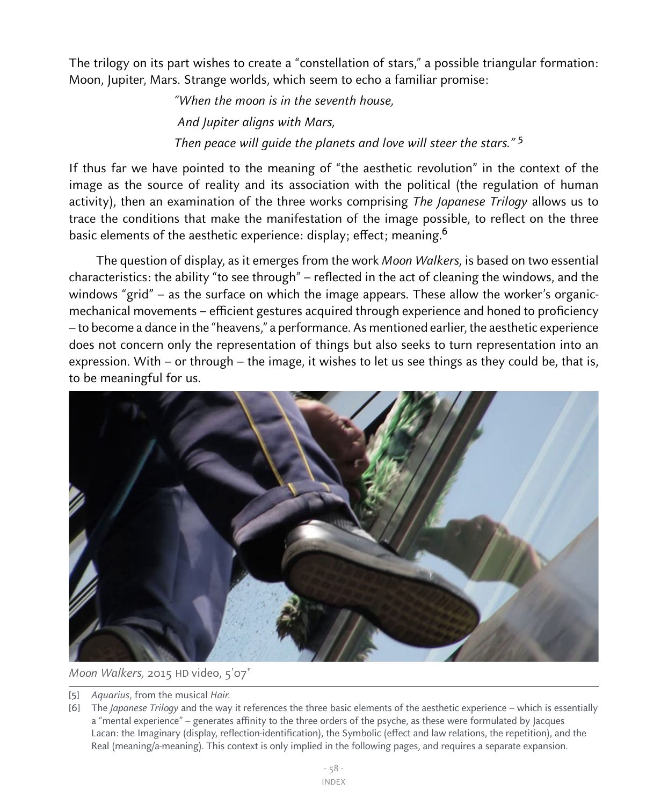The trilogy on its part wishes to create a "constellation of stars," a possible triangular formation: Moon, Jupiter, Mars. Strange worlds, which seem to echo a familiar promise:

> "When the moon is in the seventh house, And Jupiter aligns with Mars, Then peace will guide the planets and love will steer the stars." <sup>5</sup>

If thus far we have pointed to the meaning of "the aesthetic revolution" in the context of the image as the source of reality and its association with the political (the regulation of human activity), then an examination of the three works comprising The Japanese Trilogy allows us to trace the conditions that make the manifestation of the image possible, to reflect on the three basic elements of the aesthetic experience: display; effect; meaning.<sup>6</sup>

The question of display, as it emerges from the work Moon Walkers, is based on two essential characteristics: the ability "to see through" – reflected in the act of cleaning the windows, and the windows "grid" – as the surface on which the image appears. These allow the worker's organicmechanical movements – efficient gestures acquired through experience and honed to proficiency – to become a dance in the "heavens," a performance. As mentioned earlier, the aesthetic experience does not concern only the representation of things but also seeks to turn representation into an expression. With – or through – the image, it wishes to let us see things as they could be, that is, to be meaningful for us.



Moon Walkers, 2015 HD video, 5'07"

<sup>[5]</sup> Aquarius, from the musical Hair.

<sup>[6]</sup> The *Japanese Trilogy* and the way it references the three basic elements of the aesthetic experience – which is essentially a "mental experience" – generates affinity to the three orders of the psyche, as these were formulated by Jacques Lacan: the Imaginary (display, reflection-identification), the Symbolic (effect and law relations, the repetition), and the Real (meaning/a-meaning). This context is only implied in the following pages, and requires a separate expansion.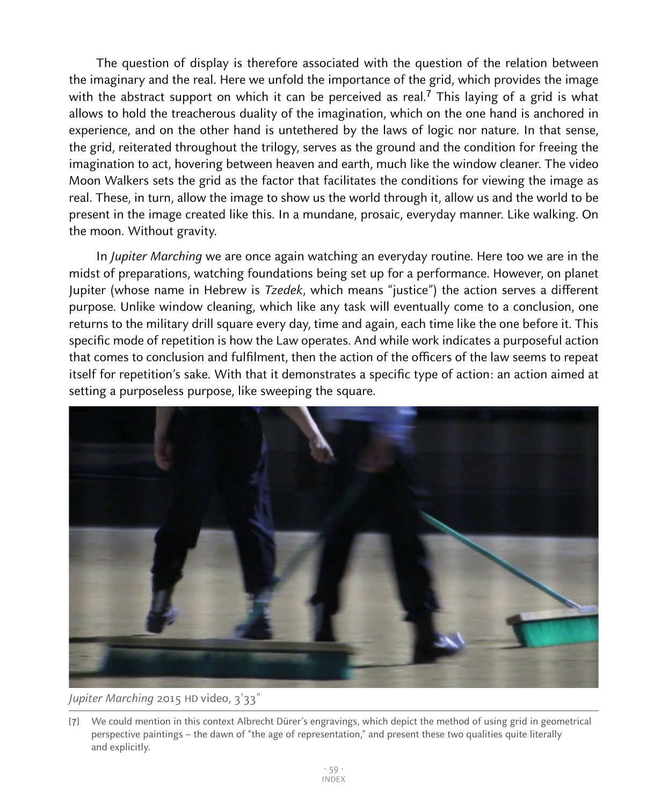The question of display is therefore associated with the question of the relation between the imaginary and the real. Here we unfold the importance of the grid, which provides the image with the abstract support on which it can be perceived as real.<sup>7</sup> This laying of a grid is what allows to hold the treacherous duality of the imagination, which on the one hand is anchored in experience, and on the other hand is untethered by the laws of logic nor nature. In that sense, the grid, reiterated throughout the trilogy, serves as the ground and the condition for freeing the imagination to act, hovering between heaven and earth, much like the window cleaner. The video Moon Walkers sets the grid as the factor that facilitates the conditions for viewing the image as real. These, in turn, allow the image to show us the world through it, allow us and the world to be present in the image created like this. In a mundane, prosaic, everyday manner. Like walking. On the moon. Without gravity.

In *Jupiter Marching* we are once again watching an everyday routine. Here too we are in the midst of preparations, watching foundations being set up for a performance. However, on planet Jupiter (whose name in Hebrew is Tzedek, which means "justice") the action serves a different purpose. Unlike window cleaning, which like any task will eventually come to a conclusion, one returns to the military drill square every day, time and again, each time like the one before it. This specific mode of repetition is how the Law operates. And while work indicates a purposeful action that comes to conclusion and fulfilment, then the action of the officers of the law seems to repeat itself for repetition's sake. With that it demonstrates a specific type of action: an action aimed at setting a purposeless purpose, like sweeping the square.



Jupiter Marching 2015 HD video, 3'33"

<sup>[</sup>7] We could mention in this context Albrecht Dürer's engravings, which depict the method of using grid in geometrical perspective paintings – the dawn of "the age of representation," and present these two qualities quite literally and explicitly.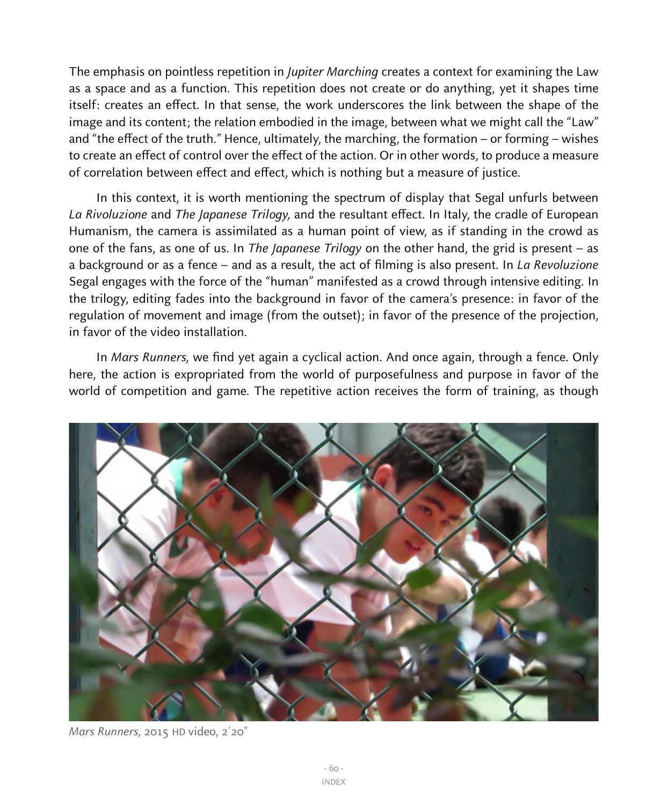The emphasis on pointless repetition in *Jupiter Marching* creates a context for examining the Law as a space and as a function. This repetition does not create or do anything, yet it shapes time itself: creates an effect. In that sense, the work underscores the link between the shape of the image and its content; the relation embodied in the image, between what we might call the "Law" and "the effect of the truth." Hence, ultimately, the marching, the formation – or forming – wishes to create an effect of control over the effect of the action. Or in other words, to produce a measure of correlation between effect and effect, which is nothing but a measure of justice.

In this context, it is worth mentioning the spectrum of display that Segal unfurls between La Rivoluzione and The Japanese Trilogy, and the resultant effect. In Italy, the cradle of European Humanism, the camera is assimilated as a human point of view, as if standing in the crowd as one of the fans, as one of us. In The Japanese Trilogy on the other hand, the grid is present – as a background or as a fence – and as a result, the act of filming is also present. In La Revoluzione Segal engages with the force of the "human" manifested as a crowd through intensive editing. In the trilogy, editing fades into the background in favor of the camera's presence: in favor of the regulation of movement and image (from the outset); in favor of the presence of the projection, in favor of the video installation.

In Mars Runners, we find yet again a cyclical action. And once again, through a fence. Only here, the action is expropriated from the world of purposefulness and purpose in favor of the world of competition and game. The repetitive action receives the form of training, as though



Mars Runners, 2015 HD video, 2'20"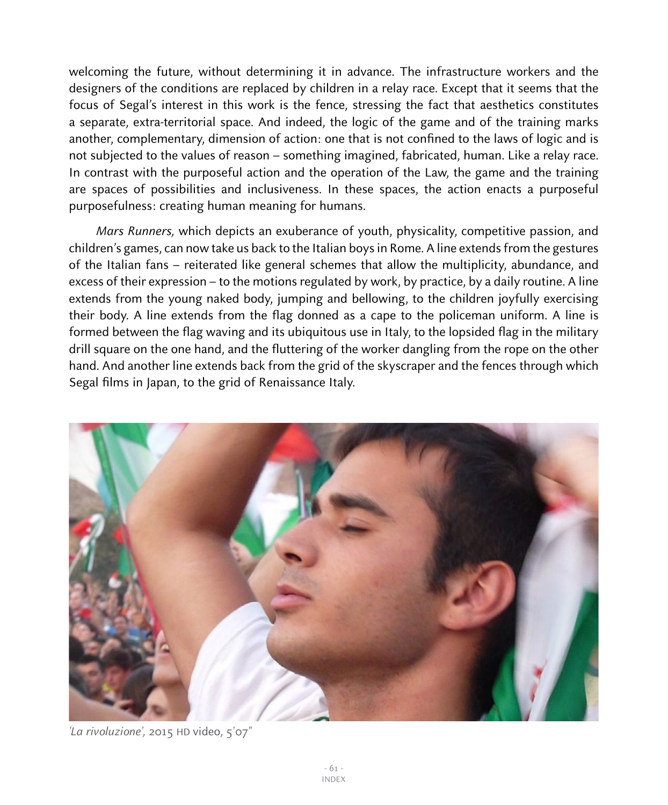welcoming the future, without determining it in advance. The infrastructure workers and the designers of the conditions are replaced by children in a relay race. Except that it seems that the focus of Segal's interest in this work is the fence, stressing the fact that aesthetics constitutes a separate, extra-territorial space. And indeed, the logic of the game and of the training marks another, complementary, dimension of action: one that is not confined to the laws of logic and is not subjected to the values of reason – something imagined, fabricated, human. Like a relay race. In contrast with the purposeful action and the operation of the Law, the game and the training are spaces of possibilities and inclusiveness. In these spaces, the action enacts a purposeful purposefulness: creating human meaning for humans.

Mars Runners, which depicts an exuberance of youth, physicality, competitive passion, and children's games, can now take us back to the Italian boys in Rome. A line extends from the gestures of the Italian fans – reiterated like general schemes that allow the multiplicity, abundance, and excess of their expression – to the motions regulated by work, by practice, by a daily routine. A line extends from the young naked body, jumping and bellowing, to the children joyfully exercising their body. A line extends from the flag donned as a cape to the policeman uniform. A line is formed between the flag waving and its ubiquitous use in Italy, to the lopsided flag in the military drill square on the one hand, and the fluttering of the worker dangling from the rope on the other hand. And another line extends back from the grid of the skyscraper and the fences through which Segal films in Japan, to the grid of Renaissance Italy.



'La rivoluzione', 2015 HD video, 5'07"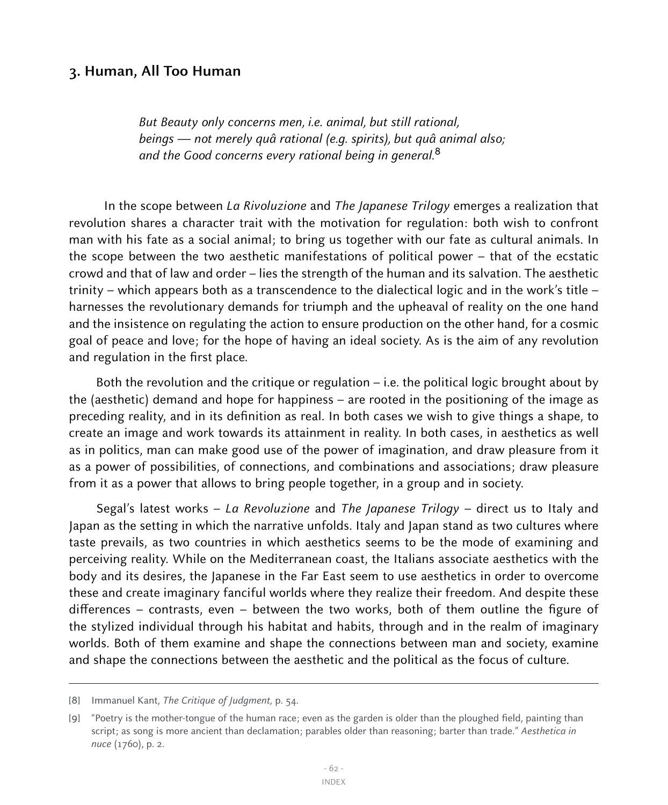#### **3. Human, All Too Human**

 But Beauty only concerns men, i.e. animal, but still rational, beings — not merely quâ rational (e.g. spirits), but quâ animal also; and the Good concerns every rational being in general.<sup>8</sup>

 In the scope between La Rivoluzione and The Japanese Trilogy emerges a realization that revolution shares a character trait with the motivation for regulation: both wish to confront man with his fate as a social animal; to bring us together with our fate as cultural animals. In the scope between the two aesthetic manifestations of political power – that of the ecstatic crowd and that of law and order – lies the strength of the human and its salvation. The aesthetic trinity – which appears both as a transcendence to the dialectical logic and in the work's title – harnesses the revolutionary demands for triumph and the upheaval of reality on the one hand and the insistence on regulating the action to ensure production on the other hand, for a cosmic goal of peace and love; for the hope of having an ideal society. As is the aim of any revolution and regulation in the first place.

Both the revolution and the critique or regulation  $-$  i.e. the political logic brought about by the (aesthetic) demand and hope for happiness – are rooted in the positioning of the image as preceding reality, and in its definition as real. In both cases we wish to give things a shape, to create an image and work towards its attainment in reality. In both cases, in aesthetics as well as in politics, man can make good use of the power of imagination, and draw pleasure from it as a power of possibilities, of connections, and combinations and associations; draw pleasure from it as a power that allows to bring people together, in a group and in society.

Segal's latest works – La Revoluzione and The Japanese Trilogy – direct us to Italy and Japan as the setting in which the narrative unfolds. Italy and Japan stand as two cultures where taste prevails, as two countries in which aesthetics seems to be the mode of examining and perceiving reality. While on the Mediterranean coast, the Italians associate aesthetics with the body and its desires, the Japanese in the Far East seem to use aesthetics in order to overcome these and create imaginary fanciful worlds where they realize their freedom. And despite these differences – contrasts, even – between the two works, both of them outline the figure of the stylized individual through his habitat and habits, through and in the realm of imaginary worlds. Both of them examine and shape the connections between man and society, examine and shape the connections between the aesthetic and the political as the focus of culture.

<sup>[8]</sup> Immanuel Kant, The Critique of Judgment, p. 54.

<sup>[</sup>9] "Poetry is the mother-tongue of the human race; even as the garden is older than the ploughed field, painting than script; as song is more ancient than declamation; parables older than reasoning; barter than trade." Aesthetica in nuce (1760), p. 2.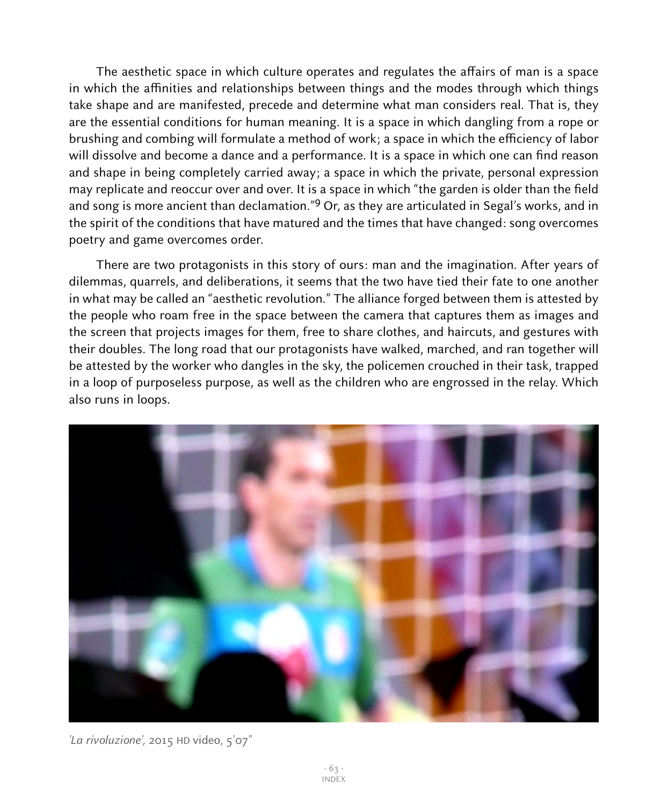The aesthetic space in which culture operates and regulates the affairs of man is a space in which the affinities and relationships between things and the modes through which things take shape and are manifested, precede and determine what man considers real. That is, they are the essential conditions for human meaning. It is a space in which dangling from a rope or brushing and combing will formulate a method of work; a space in which the efficiency of labor will dissolve and become a dance and a performance. It is a space in which one can find reason and shape in being completely carried away; a space in which the private, personal expression may replicate and reoccur over and over. It is a space in which "the garden is older than the field and song is more ancient than declamation."<sup>9</sup> Or, as they are articulated in Segal's works, and in the spirit of the conditions that have matured and the times that have changed: song overcomes poetry and game overcomes order.

There are two protagonists in this story of ours: man and the imagination. After years of dilemmas, quarrels, and deliberations, it seems that the two have tied their fate to one another in what may be called an "aesthetic revolution." The alliance forged between them is attested by the people who roam free in the space between the camera that captures them as images and the screen that projects images for them, free to share clothes, and haircuts, and gestures with their doubles. The long road that our protagonists have walked, marched, and ran together will be attested by the worker who dangles in the sky, the policemen crouched in their task, trapped in a loop of purposeless purpose, as well as the children who are engrossed in the relay. Which also runs in loops.



'La rivoluzione', 2015 HD video, 5'07"